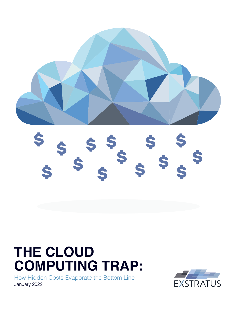

# **\$ \$ \$ \$ \$ \$ \$ \$ \$ \$ \$ \$ \$ \$**

# **THE CLOUD COMPUTING TRAP:**

How Hidden Costs Evaporate the Bottom Line January 2022

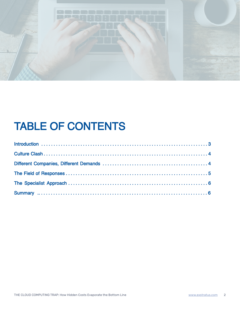

# TABLE OF CONTENTS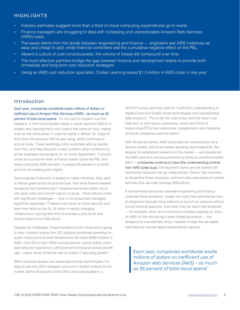# HIGHLIGHTS

- Industry estimates suggest more than a third of cloud computing expenditures go to waste.
- Finance managers are struggling to deal with increasing and unpredictable Amazon Web Services (AWS) costs.
- The waste stems from the divide between engineering and finance engineers see AWS instances as easy and cheap to add, while financial controllers see the cumulative negative effect on the P&L.
- Absent a culture of cost consciousness, the volume of losses will compound over time.
- The most effective partners bridge the gap between finance and development teams to provide both immediate and long-term cost reduction strategies.
- Using an AWS cost reduction specialist, Civitas Learning saved \$1.5 million in AWS costs in one year.

## Introduction

Each year, companies worldwide waste millions of dollars on inefficient use of Amazon Web Services (AWS) – as much as 35 percent of total cloud spend.<sup>1</sup> It's not hard to imagine how this happens. A front-line engineer needs a virtual machine (VM) for a project and, figuring that it only costs a few cents an hour, makes sure he has extra power in case he needs it. Worse, he forgot to shut down the previous VM he was using, which continues to accrue costs. These seemingly minor expenses add up quickly over time, and they become a major problem when multiplied by all the engineers and projects for an entire department. It should come as no surprise when a finance leader scans the P&L and stops cold at the AWS line item; it jumped 25 percent in a month, and now it's heading even higher.

Each engineer's decision is based on noble intentions: they want to deliver great products and services. And while finance leaders recognize that transitioning IT infrastructure to the public cloud can save costs and convert cap-ex to op-ex, these rollouts come with significant challenges — and, if not proactively managed, significant expenses. IT teams must focus on cloud security and learn new skills on the fly, all within a rapidly changing infrastructure, leaving little time to oversee a cost driver that finance teams know little about.

Despite the challenges, these transitions to the cloud aren't going to stop. Industry analyst firm IDC projects worldwide spending on public cloud services and infrastructure will reach \$400.0 billion in 2025. Over IDC's 2021-2025 forecast period, overall public cloud spending will experience a 28.8 percent compound annual growth rate – nearly seven times the rate of overall IT spending growth.<sup>2</sup>

When business leaders are asked about those technologies, it's easy to see why IDC's analysts have such a bullish outlook for the market. Some 58 percent of the CFOs who participated in a

2019 EY survey said they need to "build their understanding of digital (cloud and SaaS), smart technologies and sophisticated data analytics". This is still the case today and that wasn't just high-tech or tech-savvy companies; nearly two-thirds of responding CFOs from automotive, transportation and industrialproducts companies said the same.<sup>3</sup>

With 45 percent share, AWS dominates the Infrastructure-as-a-Service market, one of the fastest growing cloud segments. But despite its established presence in the market — and despite all the AWS tools and services provided by Amazon and third parties alike — companies continue to have little understanding of what their AWS dollar buys. Development teams are not tasked with monitoring instances that go underutilized. There's little incentive to streamline those resources, and even less awareness of outside services that can help manage AWS efforts.

A fundamental disconnect between engineering and finance underlies these problems. Usage can cost mere pennies per hour, so engineers typically have authority to launch an instance without formal financial approval. And when they do reach that threshold — for example, when an e-commerce company expects an influx of traffic on the site during a peak shopping season — the tendency to overestimate what's needed to keep the site stable overrides any concern about wasted server capacity.

*Each year, companies worldwide waste millions of dollars on inefficient use of Amazon Web Services (AWS) – as much as 35 percent of total cloud spend.1*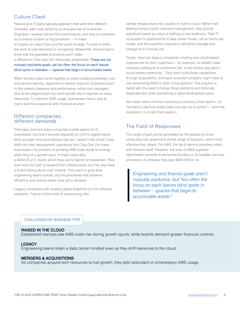# Culture Clash

Finance and IT teams typically approach their work from different mindsets, each side driven by a divergent set of incentives. Engineers' rewards derive from performance, and they're motivated by a chance to work on big problems — to make an impact on users' lives and the world at large. To most of them, the work of cost reduction is uninspiring. Meanwhile, finance teams know that the grandest of projects won't make

a difference if the work isn't financially sustainable. These are not mutually exclusive goals, yet too often the focus on each leaves blind spots in between — spaces that begin to accumulate waste.

When the two sides come together to strike a balance between cost and service delivery, alignment is seldom reached. Engineers point to the system's features and performance, while cost managers look at the elegant black box and wonder why it requires so many resources. To optimize AWS usage, businesses need a way to marry technical expertise with financial acumen.

### Different companies, different demands

This basic scenario plays out across a wide spectrum of businesses, but how it evolves depends on a firm's digital history. Most younger firms and startups that are "raised in the cloud" build AWS into their development operations from Day One. For these businesses, the problem of spiraling AWS costs tends to emerge when they hit a growth spurt. It might come after a Series B or C round, which they use to launch an expansion. They now have the cash to expand their infrastructure, but they also have a board asking about cost controls. They want to grow their engineering teams quickly, but the processes that preserve efficiency and reduce waste have yet to develop.

Legacy companies with existing digital footprints run into different problems. They're in the midst of transitioning their

owned infrastructure into a public or hybrid cloud. Rather than leaking money to poor resource management, they accrue significant waste by virtue of shifting to new platforms. Their IT ecosystem is optimized for a data center model, not an hourly fee model, and the expertise required to efficiently manage that change isn't in-house yet.

Finally, there are legacy companies creating new cloud-based experiences for their customers— for example, an athletic wear company adding an e-commerce site, a new fitness app and a social media community. They often build those capabilities through acquisitions, and each acquired company might have its own preexisting AWS or other cloud platform. The acquirer is faced with the need to merge those platforms and eliminate redundancies while maintaining a rapid development pace.

No matter which of these scenarios a company finds itself in, it's not hard to see how easily costs can slip out of control — and how important it is to rein them back in.

# The Field of Responses

The range of pain points generated by the spread of cloud computing has spawned a similar range of solutions, some more effective than others. For AWS, the list of service providers starts with Amazon itself. However, the suite of AWS-supplied optimization services is somewhat ancillary to its broader services provisions. A company that pays \$500,000 for an

Engineering and finance goals aren't mutually exclusive, but "too often the focus on each leaves blind spots in between – spaces that begin to accumulate waste."

#### CHALLENGES BY BUSINESS TYPE

#### RAISED IN THE CLOUD

Established startups see AWS costs rise during growth spurts, while boards demand greater financial controls.

#### **LEGACY**

Engineering teams retain a data center mindset even as they shift resources to the cloud.

#### MERGERS & ACQUISITIONS

As companies acquire tech resources to fuel growth, they add redundant or unnecessary AWS usage.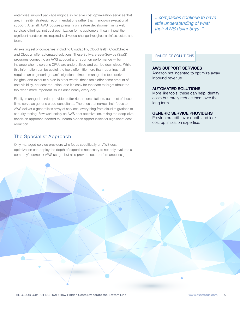enterprise support package might also receive cost optimization services that are, in reality, strategic recommendations rather than hands-on executional support. After all, AWS focuses primarily on feature development in its web services offerings, not cost optimization for its customers. It can't invest the significant hands-on time required to drive real change throughout an infrastructure and team.

An existing set of companies, including Cloudability, CloudHealth, CloudCheckr and Cloudyn offer automated solutions. These Software-as-a-Service (SaaS) programs connect to an AWS account and report on performance — for instance when a server's CPUs are underutilized and can be downsized. While this information can be useful, the tools offer little more than reporting; it still requires an engineering team's significant time to manage the tool, derive insights, and execute a plan In other words, these tools offer some amount of cost visibility, not cost reduction, and it's easy for the team to forget about the tool when more important issues arise nearly every day.

Finally, managed-service providers offer richer consultations, but most of these firms serve as generic cloud consultants. The ones that narrow their focus to AWS deliver a generalist's array of services, everything from cloud migrations to security testing. Few work solely on AWS cost optimization, taking the deep-dive, hands-on approach needed to unearth hidden opportunities for significant cost reduction.

# The Specialist Approach

Only managed-service providers who focus specifically on AWS cost optimization can deploy the depth of expertise necessary to not only evaluate a company's complex AWS usage, but also provide cost-performance insight

...companies continue to have little understanding of what their AWS dollar buys. "

#### RANGE OF SOLUTIONS

#### AWS SUPPORT SERVICES

Amazon not incented to optimize away inbound revenue.

#### AUTOMATED SOLUTIONS

More like tools, these can help identify costs but rarely reduce them over the long term.

#### GENERIC SERVICE PROVIDERS

Provide breadth over depth and lack cost optimization expertise.

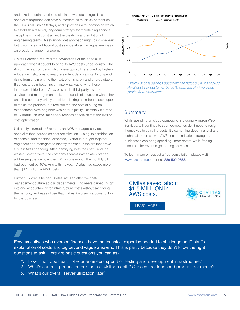and take immediate action to eliminate wasteful usage. This specialist approach can save customers as much 35 percent on their AWS bill within 30 days, and it provides a foundation on which to establish a tailored, long-term strategy for maintaining financial discipline without constraining the creativity and ambition of engineering teams. A set-and-forget approach might plug one leak, but it won't yield additional cost savings absent an equal emphasis on broader change management.

Civitas Learning realized the advantages of the specialist approach when it sought to bring its AWS costs under control. The Austin, Texas, company, which develops software used by highereducation institutions to analyze student data, saw its AWS spend rising from one month to the next, often sharply and unpredictably. It set out to gain better insight into what was driving those increases. It tried both Amazon's and a third-party's support services and management tools, but found little success with either one. The company briefly considered hiring an in-house developer to tackle the problem, but realized that the cost of hiring an experienced AWS engineer was hard to justify. Ultimately it turned to Exstratus, an AWS managed-services specialist that focuses on cost optimization.

Ultimately it turned to Exstratus, an AWS managed-services specialist that focuses on cost optimization. Using its combination of financial and technical expertise, Exstratus brought together engineers and managers to identify the various factors that drove Civitas' AWS spending. After identifying both the useful and the wasteful cost drivers, the company's teams immediately started addressing the inefficiencies. Within one month, the monthly bill had been cut by 10%. And within a year, Civitas had saved more than \$1.5 million in AWS costs.

Further, Exstratus helped Civitas instill an effective costmanagement culture across departments. Engineers gained insight into and accountability for infrastructure costs without sacrificing the flexibility and ease of use that makes AWS such a powerful tool for the business.

CIVITAS MONTHLY AWS COSTS PER CUSTOMER



Exstratus' cost savings specialization helped Civitas reduce AWS cost-per-customer by 40%, dramatically improving profits from operations.

#### Summary

While spending on cloud computing, including Amazon Web Services, will continue to soar, companies don't need to resign themselves to spiraling costs. By combining deep financial and technical expertise with AWS cost optimization strategies, businesses can bring spending under control while freeing resources for revenue generating activities.

To learn more or request a free consultation, please visit www.exstratus.com or call 888-500-9553.

## [Civitas saved about](http://www.exstratus.com/case-study-civitas-learning)  \$1.5 MILLION in AWS costs.



[LEARN MORE](http://www.exstratus.com/case-study-civitas-learning) >

Few executives who oversee finances have the technical expertise needed to challenge an IT staff's explanation of costs and dig beyond vague answers. This is partly because they don't know the right questions to ask. Here are basic questions you can ask:

- 1. How much does each of your engineers spend on testing and development infrastructure?
- 2. What's our cost per customer-month or visitor-month? Our cost per launched product per month?
- 3. What's our overall server utilization rate?